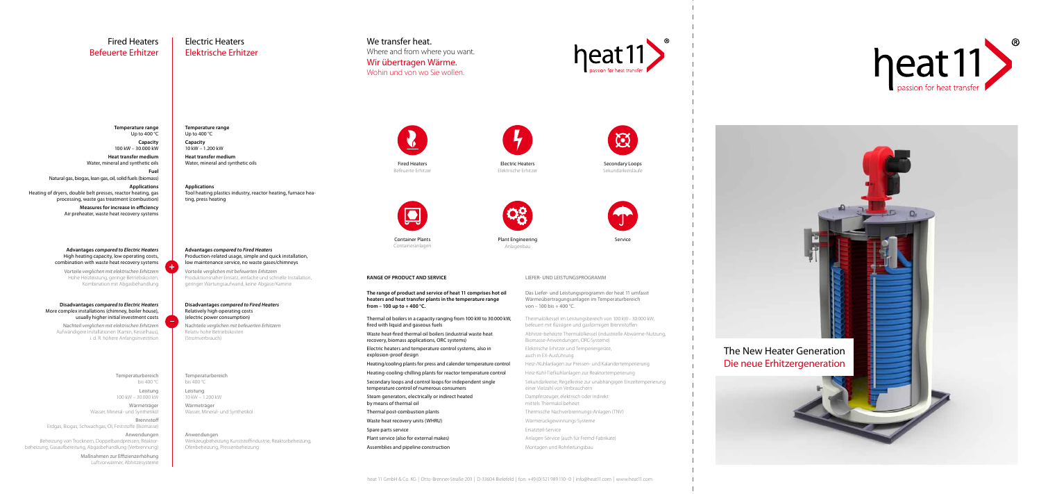# We transfer heat.

Where and from where you want.

# Wir übertragen Wärme.

**Temperature range** Up to 400 °C Wohin und von wo Sie wollen.

The New Heater Generation Die neue Erhitzergeneration

**Capacity** 100 kW – 30.000 kW

**Heat transfer medium** Water, mineral and synthetic oils **Fuel**

Natural gas, biogas, lean gas, oil, solid fuels (biomass)

**Applications** Heating of dryers, double belt presses, reactor heating, gas processing, waste gas treatment (combustion)

## **Temperature range** Up to 400 °C

**Measures for increase in efficiency** Air preheater, waste heat recovery systems

> Temperaturbereich bis 400 °C Leistung 100 kW – 30.000 kW

Wärmeträger Wasser, Mineral- und Synthetiköl Brennstoff

Erdgas, Biogas, Schwachgas, Öl, Feststoffe (Biomasse)

### Anwendungen Beheizung von Trocknern, Doppelbandpressen, Reaktorbeheizung, Gasaufbereitung, Abgasbehandlung (Verbrennung)

Maßnahmen zur Effizienzerhöhung Luftvorwärmer, Abhitzesysteme **Capacity** 10 kW – 1.200 kW

**Heat transfer medium** Water, mineral and synthetic oils

**Applications** Tool heating plastics industry, reactor heating, furnace heating, press heating

#### Temperaturbereich bis 400 °C

Leistung 10 kW – 1.200 kW

Wärmeträger Wasser, Mineral- und Synthetiköl

Anwendungen Werkzeugbeheizung Kunststoffindustrie, Reaktorbeheizung, Ofenbeheizung, Pressenbeheizung





## heat 11 GmbH & Co. KG | Otto-Brenner-Straße 203 | D-33604 Bielefeld | fon: +49 (0) 521 989 110 - 0 | info@heat11.com | www.heat11.com







# Fired Heaters Befeuerte Erhitzer

Electric Heaters Elektrische Erhitzer

**Advantages** *compared to Fired Heaters* Production-related usage, simple and quick installation, low maintenance service, no waste gases/chimneys

Vorteile *verglichen mit befeuerten Erhitzern* Produktionsnaher Einsatz, einfache und schnelle Installation, geringer Wartungsaufwand, keine Abgase/Kamine

### **Advantages** *compared to Electric Heaters*  High heating capacity, low operating costs, combination with waste heat recovery systems

Vorteile *verglichen mit elektrischen Erhitzern* Hohe Heizleistung, geringe Betriebskosten, Kombination mit Abgasbehandlung

### **Disadvantages** *compared to Fired Heaters* Relatively high operating costs (electric power consumption)

Nachteile *verglichen mit befeuerten Erhitzern* Relativ hohe Betriebskosten (Stromverbrauch)

### **Disadvantages** *compared to Electric Heaters* More complex installations (chimney, boiler house), usually higher initial investment costs

Nachteil *verglichen mit elektrischen Erhitzern* Aufwändigere Installationen (Kamin, Kesselhaus), i. d. R. höhere Anfangsinvestition

Liefer- und Leistungsprogramm

Das Liefer- und Leistungsprogramm der heat 11 umfasst Wärmeübertragungsanlagen im Temperaturbereich von – 100 bis + 400 °C.

- Thermalölkessel im Leistungsbereich von 100 kW– 30.000 kW, befeuert mit flüssigen und gasförmigen Brennstoffen
- Abhitze-beheizte Thermalölkessel (industrielle Abwärme-Nutzung, Biomasse-Anwendungen, ORC-Systeme)
- Elektrische Erhitzer und Temperiergeräte, auch in EX-Ausführung
- Heiz-/Kühlanlagen zur Pressen- und Kalandertemperierung
- Heiz-Kühl-Tiefkühlanlagen zur Reaktortemperierung
- Sekundärkreise, Regelkreise zur unabhängigen Einzeltemperierung einer Vielzahl von Verbrauchern
- Dampferzeuger, elektrisch oder indirekt mittels Thermalöl beheizt
- Thermische Nachverbrennungs-Anlagen (TNV)
- Wärmerückgewinnungs-Systeme
- Ersatzteil-Service
- Anlagen-Service (auch für Fremd-Fabrikate)
- Montagen und Rohrleitungsbau

| <b>RANGE OF PRODUCT AND SERVICE</b>                                                                                                                      |
|----------------------------------------------------------------------------------------------------------------------------------------------------------|
| The range of product and service of heat 11 comprises hot oil<br>heaters and heat transfer plants in the temperature range<br>from - 100 up to + 400 °C. |
| Thermal oil boilers in a capacity ranging from 100 kW to 30.000 kW.<br>fired with liquid and gaseous fuels                                               |
| Waste heat-fired thermal oil boilers (industrial waste heat<br>recovery, biomass applications, ORC systems)                                              |
| Electric heaters and temperature control systems, also in<br>explosion-proof design                                                                      |
| Heating/cooling plants for press and calender temperature control                                                                                        |
| Heating-cooling-chilling plants for reactor temperature control                                                                                          |
| Secondary loops and control loops for independent single<br>temperature control of numerous consumers                                                    |
| Steam generators, electrically or indirect heated<br>by means of thermal oil                                                                             |
| Thermal post-combustion plants                                                                                                                           |
| Waste heat recovery units (WHRU)                                                                                                                         |
| Spare parts service                                                                                                                                      |
| Plant service (also for external makes)                                                                                                                  |

Assemblies and pipeline construction

Electric Heaters Elektrische Erhitzer





Fired Heaters Befeuerte Erhitzer



Secondary Loops Sekundärkreisläufe

Container Plants Containeranlagen



Service